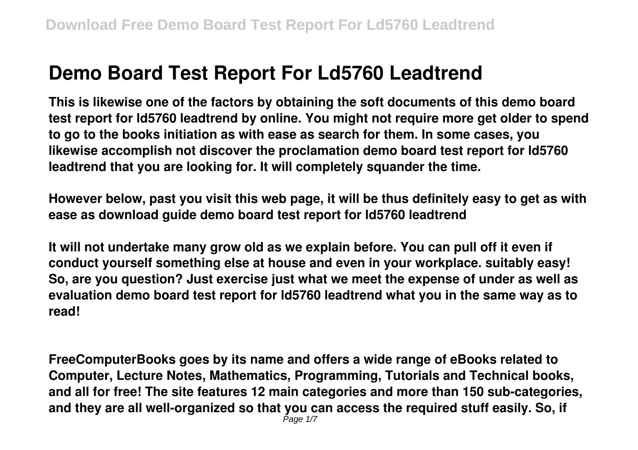# **Demo Board Test Report For Ld5760 Leadtrend**

**This is likewise one of the factors by obtaining the soft documents of this demo board test report for ld5760 leadtrend by online. You might not require more get older to spend to go to the books initiation as with ease as search for them. In some cases, you likewise accomplish not discover the proclamation demo board test report for ld5760 leadtrend that you are looking for. It will completely squander the time.**

**However below, past you visit this web page, it will be thus definitely easy to get as with ease as download guide demo board test report for ld5760 leadtrend**

**It will not undertake many grow old as we explain before. You can pull off it even if conduct yourself something else at house and even in your workplace. suitably easy! So, are you question? Just exercise just what we meet the expense of under as well as evaluation demo board test report for ld5760 leadtrend what you in the same way as to read!**

**FreeComputerBooks goes by its name and offers a wide range of eBooks related to Computer, Lecture Notes, Mathematics, Programming, Tutorials and Technical books, and all for free! The site features 12 main categories and more than 150 sub-categories, and they are all well-organized so that you can access the required stuff easily. So, if**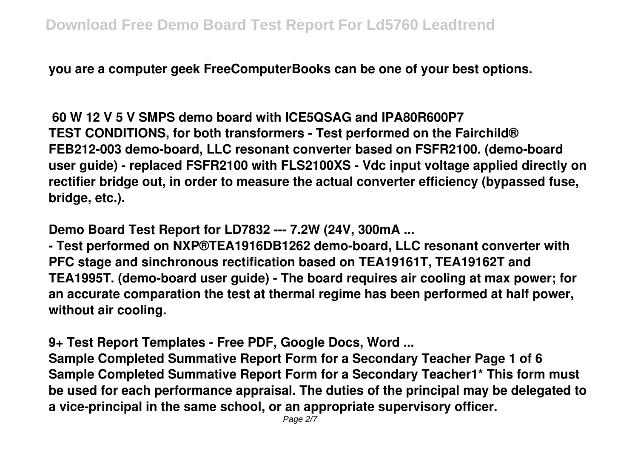**you are a computer geek FreeComputerBooks can be one of your best options.**

**60 W 12 V 5 V SMPS demo board with ICE5QSAG and IPA80R600P7 TEST CONDITIONS, for both transformers - Test performed on the Fairchild® FEB212-003 demo-board, LLC resonant converter based on FSFR2100. (demo-board user guide) - replaced FSFR2100 with FLS2100XS - Vdc input voltage applied directly on rectifier bridge out, in order to measure the actual converter efficiency (bypassed fuse, bridge, etc.).**

**Demo Board Test Report for LD7832 --- 7.2W (24V, 300mA ...**

**- Test performed on NXP®TEA1916DB1262 demo-board, LLC resonant converter with PFC stage and sinchronous rectification based on TEA19161T, TEA19162T and TEA1995T. (demo-board user guide) - The board requires air cooling at max power; for an accurate comparation the test at thermal regime has been performed at half power, without air cooling.**

**9+ Test Report Templates - Free PDF, Google Docs, Word ...**

**Sample Completed Summative Report Form for a Secondary Teacher Page 1 of 6 Sample Completed Summative Report Form for a Secondary Teacher1\* This form must be used for each performance appraisal. The duties of the principal may be delegated to a vice-principal in the same school, or an appropriate supervisory officer.**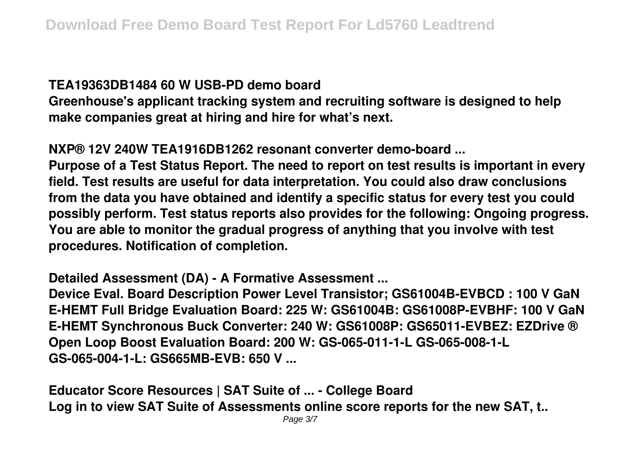#### **TEA19363DB1484 60 W USB-PD demo board**

**Greenhouse's applicant tracking system and recruiting software is designed to help make companies great at hiring and hire for what's next.**

## **NXP® 12V 240W TEA1916DB1262 resonant converter demo-board ...**

**Purpose of a Test Status Report. The need to report on test results is important in every field. Test results are useful for data interpretation. You could also draw conclusions from the data you have obtained and identify a specific status for every test you could possibly perform. Test status reports also provides for the following: Ongoing progress. You are able to monitor the gradual progress of anything that you involve with test procedures. Notification of completion.**

#### **Detailed Assessment (DA) - A Formative Assessment ...**

**Device Eval. Board Description Power Level Transistor; GS61004B-EVBCD : 100 V GaN E-HEMT Full Bridge Evaluation Board: 225 W: GS61004B: GS61008P-EVBHF: 100 V GaN E-HEMT Synchronous Buck Converter: 240 W: GS61008P: GS65011-EVBEZ: EZDrive ® Open Loop Boost Evaluation Board: 200 W: GS-065-011-1-L GS-065-008-1-L GS-065-004-1-L: GS665MB-EVB: 650 V ...**

**Educator Score Resources | SAT Suite of ... - College Board Log in to view SAT Suite of Assessments online score reports for the new SAT, t..**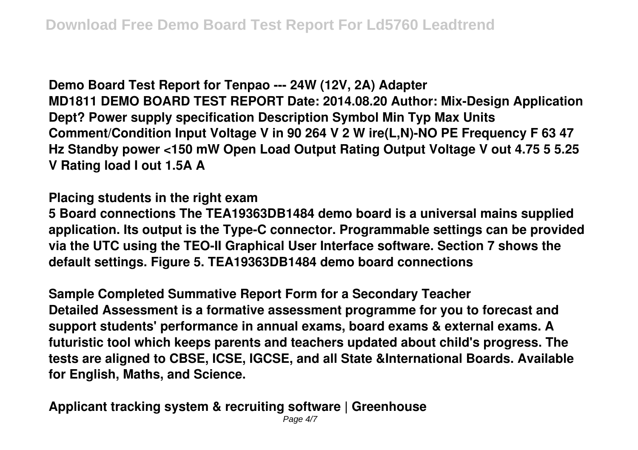**Demo Board Test Report for Tenpao --- 24W (12V, 2A) Adapter MD1811 DEMO BOARD TEST REPORT Date: 2014.08.20 Author: Mix-Design Application Dept? Power supply specification Description Symbol Min Typ Max Units Comment/Condition Input Voltage V in 90 264 V 2 W ire(L,N)-NO PE Frequency F 63 47 Hz Standby power <150 mW Open Load Output Rating Output Voltage V out 4.75 5 5.25 V Rating load I out 1.5A A**

**Placing students in the right exam**

**5 Board connections The TEA19363DB1484 demo board is a universal mains supplied application. Its output is the Type-C connector. Programmable settings can be provided via the UTC using the TEO-II Graphical User Interface software. Section 7 shows the default settings. Figure 5. TEA19363DB1484 demo board connections**

**Sample Completed Summative Report Form for a Secondary Teacher Detailed Assessment is a formative assessment programme for you to forecast and support students' performance in annual exams, board exams & external exams. A futuristic tool which keeps parents and teachers updated about child's progress. The tests are aligned to CBSE, ICSE, IGCSE, and all State &International Boards. Available for English, Maths, and Science.**

**Applicant tracking system & recruiting software | Greenhouse**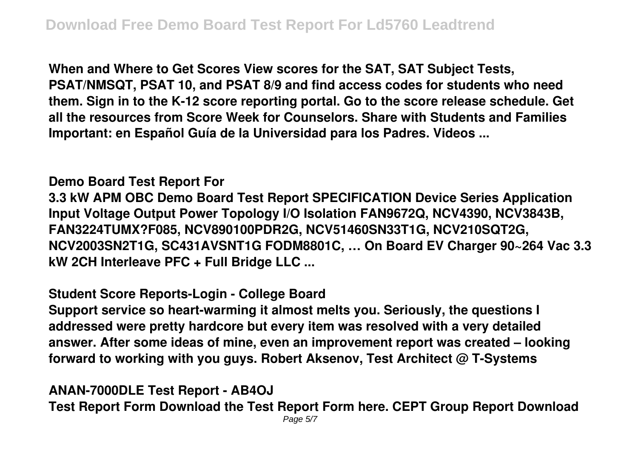**When and Where to Get Scores View scores for the SAT, SAT Subject Tests, PSAT/NMSQT, PSAT 10, and PSAT 8/9 and find access codes for students who need them. Sign in to the K-12 score reporting portal. Go to the score release schedule. Get all the resources from Score Week for Counselors. Share with Students and Families Important: en Español Guía de la Universidad para los Padres. Videos ...**

# **Demo Board Test Report For**

**3.3 kW APM OBC Demo Board Test Report SPECIFICATION Device Series Application Input Voltage Output Power Topology I/O Isolation FAN9672Q, NCV4390, NCV3843B, FAN3224TUMX?F085, NCV890100PDR2G, NCV51460SN33T1G, NCV210SQT2G, NCV2003SN2T1G, SC431AVSNT1G FODM8801C, … On Board EV Charger 90~264 Vac 3.3 kW 2CH Interleave PFC + Full Bridge LLC ...**

## **Student Score Reports-Login - College Board**

**Support service so heart-warming it almost melts you. Seriously, the questions I addressed were pretty hardcore but every item was resolved with a very detailed answer. After some ideas of mine, even an improvement report was created – looking forward to working with you guys. Robert Aksenov, Test Architect @ T-Systems**

#### **ANAN-7000DLE Test Report - AB4OJ Test Report Form Download the Test Report Form here. CEPT Group Report Download** Page 5/7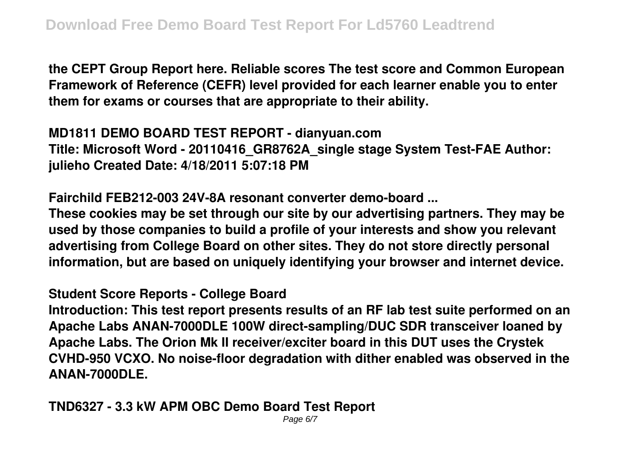**the CEPT Group Report here. Reliable scores The test score and Common European Framework of Reference (CEFR) level provided for each learner enable you to enter them for exams or courses that are appropriate to their ability.**

**MD1811 DEMO BOARD TEST REPORT - dianyuan.com Title: Microsoft Word - 20110416\_GR8762A\_single stage System Test-FAE Author: julieho Created Date: 4/18/2011 5:07:18 PM**

**Fairchild FEB212-003 24V-8A resonant converter demo-board ...**

**These cookies may be set through our site by our advertising partners. They may be used by those companies to build a profile of your interests and show you relevant advertising from College Board on other sites. They do not store directly personal information, but are based on uniquely identifying your browser and internet device.**

**Student Score Reports - College Board**

**Introduction: This test report presents results of an RF lab test suite performed on an Apache Labs ANAN-7000DLE 100W direct-sampling/DUC SDR transceiver loaned by Apache Labs. The Orion Mk II receiver/exciter board in this DUT uses the Crystek CVHD-950 VCXO. No noise-floor degradation with dither enabled was observed in the ANAN-7000DLE.**

**TND6327 - 3.3 kW APM OBC Demo Board Test Report**